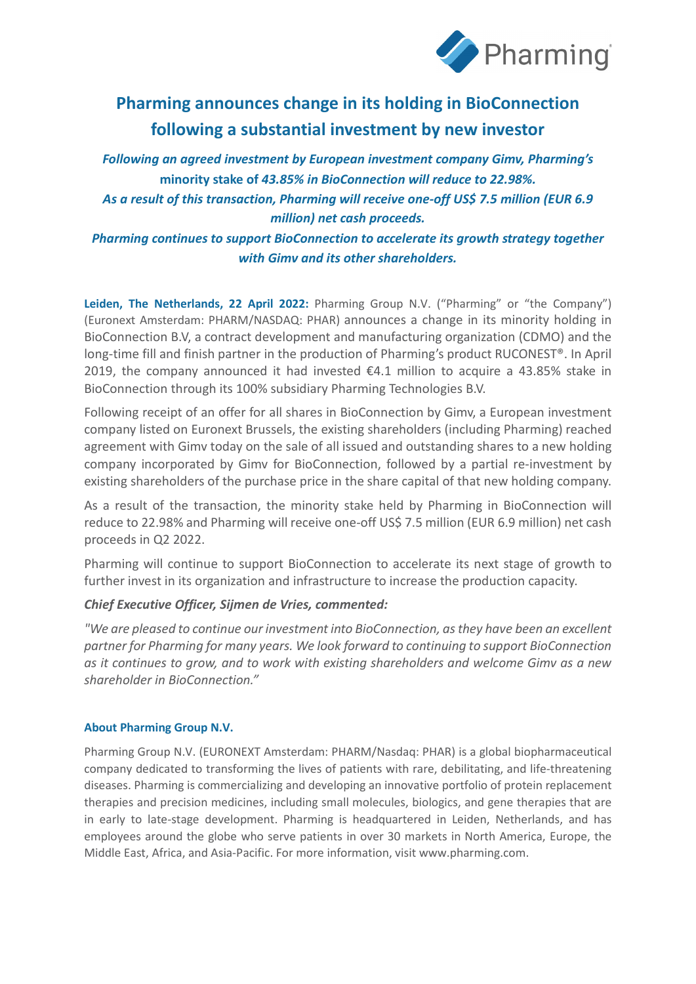

# **Pharming announces change in its holding in BioConnection following a substantial investment by new investor**

*Following an agreed investment by European investment company Gimv, Pharming's*  **minority stake of** *43.85% in BioConnection will reduce to 22.98%. As a result of this transaction, Pharming will receive one-off US\$ 7.5 million (EUR 6.9 million) net cash proceeds.* 

*Pharming continues to support BioConnection to accelerate its growth strategy together with Gimv and its other shareholders.* 

**Leiden, The Netherlands, 22 April 2022:** Pharming Group N.V. ("Pharming" or "the Company") (Euronext Amsterdam: PHARM/NASDAQ: PHAR) announces a change in its minority holding in BioConnection B.V, a contract development and manufacturing organization (CDMO) and the long-time fill and finish partner in the production of Pharming's product RUCONEST®. In April 2019, the company announced it had invested €4.1 million to acquire a 43.85% stake in BioConnection through its 100% subsidiary Pharming Technologies B.V.

Following receipt of an offer for all shares in BioConnection by Gimv, a European investment company listed on Euronext Brussels, the existing shareholders (including Pharming) reached agreement with Gimv today on the sale of all issued and outstanding shares to a new holding company incorporated by Gimv for BioConnection, followed by a partial re-investment by existing shareholders of the purchase price in the share capital of that new holding company.

As a result of the transaction, the minority stake held by Pharming in BioConnection will reduce to 22.98% and Pharming will receive one-off US\$ 7.5 million (EUR 6.9 million) net cash proceeds in Q2 2022.

Pharming will continue to support BioConnection to accelerate its next stage of growth to further invest in its organization and infrastructure to increase the production capacity.

## *Chief Executive Officer, Sijmen de Vries, commented:*

*"We are pleased to continue our investment into BioConnection, as they have been an excellent partner for Pharming for many years. We look forward to continuing to support BioConnection as it continues to grow, and to work with existing shareholders and welcome Gimv as a new shareholder in BioConnection."*

### **About Pharming Group N.V.**

Pharming Group N.V. (EURONEXT Amsterdam: PHARM/Nasdaq: PHAR) is a global biopharmaceutical company dedicated to transforming the lives of patients with rare, debilitating, and life-threatening diseases. Pharming is commercializing and developing an innovative portfolio of protein replacement therapies and precision medicines, including small molecules, biologics, and gene therapies that are in early to late-stage development. Pharming is headquartered in Leiden, Netherlands, and has employees around the globe who serve patients in over 30 markets in North America, Europe, the Middle East, Africa, and Asia-Pacific. For more information, visi[t www.pharming.com.](https://nam12.safelinks.protection.outlook.com/?url=http%3A%2F%2Fwww.pharming.com%2F&data=04%7C01%7CEmily.VanLare%40precisionvh.com%7Cf926054a441e47b93fc508da13472e5c%7Cb71ff3f628164ca8a9b938f820f91ad1%7C0%7C0%7C637843493697989079%7CUnknown%7CTWFpbGZsb3d8eyJWIjoiMC4wLjAwMDAiLCJQIjoiV2luMzIiLCJBTiI6Ik1haWwiLCJXVCI6Mn0%3D%7C3000&sdata=iY4UE5C0rFiYFGmKVm36sKa5swcRWhA6uOcswLT3Tu4%3D&reserved=0)